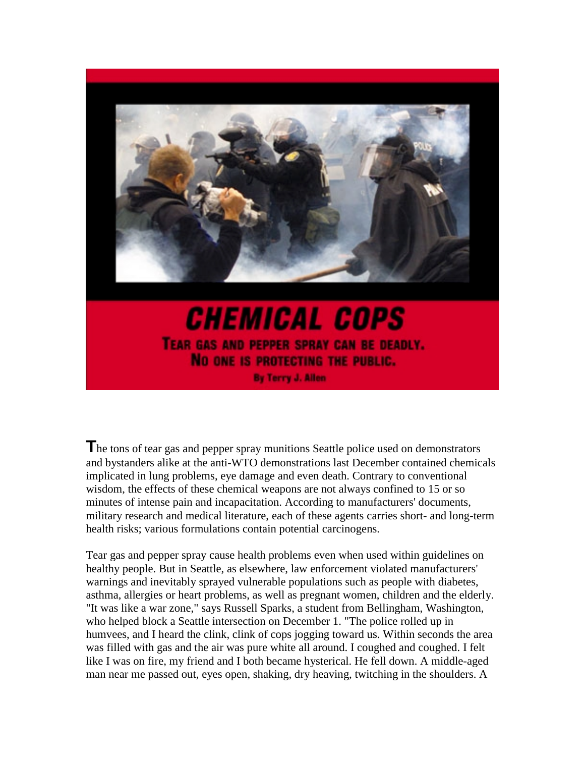

**CHEMICAL COPS** TEAR GAS AND PEPPER SPRAY CAN BE DEADLY. NO ONE IS PROTECTING THE PUBLIC. By Terry J. Allen

**T**he tons of tear gas and pepper spray munitions Seattle police used on demonstrators and bystanders alike at the anti-WTO demonstrations last December contained chemicals implicated in lung problems, eye damage and even death. Contrary to conventional wisdom, the effects of these chemical weapons are not always confined to 15 or so minutes of intense pain and incapacitation. According to manufacturers' documents, military research and medical literature, each of these agents carries short- and long-term health risks; various formulations contain potential carcinogens.

Tear gas and pepper spray cause health problems even when used within guidelines on healthy people. But in Seattle, as elsewhere, law enforcement violated manufacturers' warnings and inevitably sprayed vulnerable populations such as people with diabetes, asthma, allergies or heart problems, as well as pregnant women, children and the elderly. "It was like a war zone," says Russell Sparks, a student from Bellingham, Washington, who helped block a Seattle intersection on December 1. "The police rolled up in humvees, and I heard the clink, clink of cops jogging toward us. Within seconds the area was filled with gas and the air was pure white all around. I coughed and coughed. I felt like I was on fire, my friend and I both became hysterical. He fell down. A middle-aged man near me passed out, eyes open, shaking, dry heaving, twitching in the shoulders. A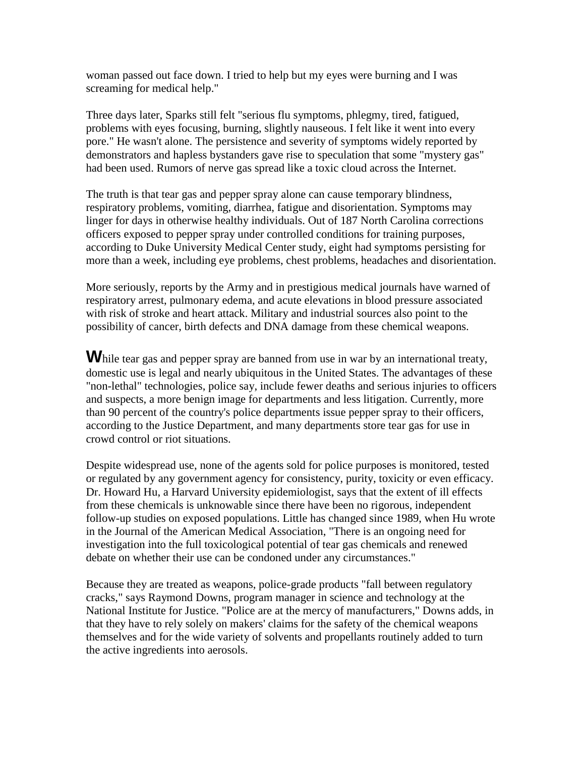woman passed out face down. I tried to help but my eyes were burning and I was screaming for medical help."

Three days later, Sparks still felt "serious flu symptoms, phlegmy, tired, fatigued, problems with eyes focusing, burning, slightly nauseous. I felt like it went into every pore." He wasn't alone. The persistence and severity of symptoms widely reported by demonstrators and hapless bystanders gave rise to speculation that some "mystery gas" had been used. Rumors of nerve gas spread like a toxic cloud across the Internet.

The truth is that tear gas and pepper spray alone can cause temporary blindness, respiratory problems, vomiting, diarrhea, fatigue and disorientation. Symptoms may linger for days in otherwise healthy individuals. Out of 187 North Carolina corrections officers exposed to pepper spray under controlled conditions for training purposes, according to Duke University Medical Center study, eight had symptoms persisting for more than a week, including eye problems, chest problems, headaches and disorientation.

More seriously, reports by the Army and in prestigious medical journals have warned of respiratory arrest, pulmonary edema, and acute elevations in blood pressure associated with risk of stroke and heart attack. Military and industrial sources also point to the possibility of cancer, birth defects and DNA damage from these chemical weapons.

While tear gas and pepper spray are banned from use in war by an international treaty, domestic use is legal and nearly ubiquitous in the United States. The advantages of these "non-lethal" technologies, police say, include fewer deaths and serious injuries to officers and suspects, a more benign image for departments and less litigation. Currently, more than 90 percent of the country's police departments issue pepper spray to their officers, according to the Justice Department, and many departments store tear gas for use in crowd control or riot situations.

Despite widespread use, none of the agents sold for police purposes is monitored, tested or regulated by any government agency for consistency, purity, toxicity or even efficacy. Dr. Howard Hu, a Harvard University epidemiologist, says that the extent of ill effects from these chemicals is unknowable since there have been no rigorous, independent follow-up studies on exposed populations. Little has changed since 1989, when Hu wrote in the Journal of the American Medical Association, "There is an ongoing need for investigation into the full toxicological potential of tear gas chemicals and renewed debate on whether their use can be condoned under any circumstances."

Because they are treated as weapons, police-grade products "fall between regulatory cracks," says Raymond Downs, program manager in science and technology at the National Institute for Justice. "Police are at the mercy of manufacturers," Downs adds, in that they have to rely solely on makers' claims for the safety of the chemical weapons themselves and for the wide variety of solvents and propellants routinely added to turn the active ingredients into aerosols.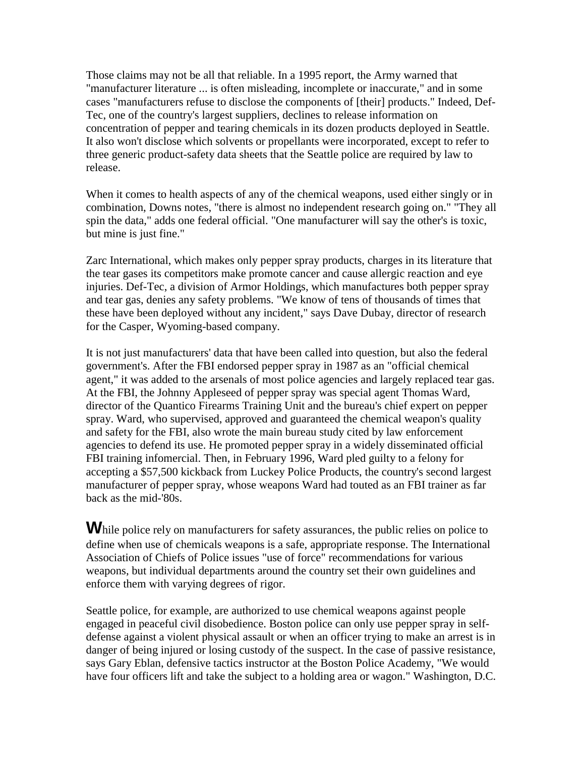Those claims may not be all that reliable. In a 1995 report, the Army warned that "manufacturer literature ... is often misleading, incomplete or inaccurate," and in some cases "manufacturers refuse to disclose the components of [their] products." Indeed, Def-Tec, one of the country's largest suppliers, declines to release information on concentration of pepper and tearing chemicals in its dozen products deployed in Seattle. It also won't disclose which solvents or propellants were incorporated, except to refer to three generic product-safety data sheets that the Seattle police are required by law to release.

When it comes to health aspects of any of the chemical weapons, used either singly or in combination, Downs notes, "there is almost no independent research going on." "They all spin the data," adds one federal official. "One manufacturer will say the other's is toxic, but mine is just fine."

Zarc International, which makes only pepper spray products, charges in its literature that the tear gases its competitors make promote cancer and cause allergic reaction and eye injuries. Def-Tec, a division of Armor Holdings, which manufactures both pepper spray and tear gas, denies any safety problems. "We know of tens of thousands of times that these have been deployed without any incident," says Dave Dubay, director of research for the Casper, Wyoming-based company.

It is not just manufacturers' data that have been called into question, but also the federal government's. After the FBI endorsed pepper spray in 1987 as an "official chemical agent," it was added to the arsenals of most police agencies and largely replaced tear gas. At the FBI, the Johnny Appleseed of pepper spray was special agent Thomas Ward, director of the Quantico Firearms Training Unit and the bureau's chief expert on pepper spray. Ward, who supervised, approved and guaranteed the chemical weapon's quality and safety for the FBI, also wrote the main bureau study cited by law enforcement agencies to defend its use. He promoted pepper spray in a widely disseminated official FBI training infomercial. Then, in February 1996, Ward pled guilty to a felony for accepting a \$57,500 kickback from Luckey Police Products, the country's second largest manufacturer of pepper spray, whose weapons Ward had touted as an FBI trainer as far back as the mid-'80s.

While police rely on manufacturers for safety assurances, the public relies on police to define when use of chemicals weapons is a safe, appropriate response. The International Association of Chiefs of Police issues "use of force" recommendations for various weapons, but individual departments around the country set their own guidelines and enforce them with varying degrees of rigor.

Seattle police, for example, are authorized to use chemical weapons against people engaged in peaceful civil disobedience. Boston police can only use pepper spray in selfdefense against a violent physical assault or when an officer trying to make an arrest is in danger of being injured or losing custody of the suspect. In the case of passive resistance, says Gary Eblan, defensive tactics instructor at the Boston Police Academy, "We would have four officers lift and take the subject to a holding area or wagon." Washington, D.C.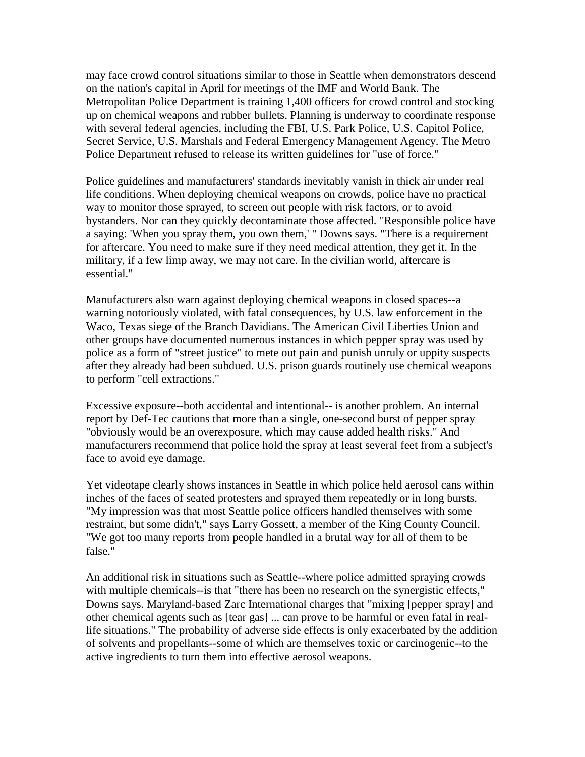may face crowd control situations similar to those in Seattle when demonstrators descend on the nation's capital in April for meetings of the IMF and World Bank. The Metropolitan Police Department is training 1,400 officers for crowd control and stocking up on chemical weapons and rubber bullets. Planning is underway to coordinate response with several federal agencies, including the FBI, U.S. Park Police, U.S. Capitol Police, Secret Service, U.S. Marshals and Federal Emergency Management Agency. The Metro Police Department refused to release its written guidelines for "use of force."

Police guidelines and manufacturers' standards inevitably vanish in thick air under real life conditions. When deploying chemical weapons on crowds, police have no practical way to monitor those sprayed, to screen out people with risk factors, or to avoid bystanders. Nor can they quickly decontaminate those affected. "Responsible police have a saying: 'When you spray them, you own them,' " Downs says. "There is a requirement for aftercare. You need to make sure if they need medical attention, they get it. In the military, if a few limp away, we may not care. In the civilian world, aftercare is essential."

Manufacturers also warn against deploying chemical weapons in closed spaces--a warning notoriously violated, with fatal consequences, by U.S. law enforcement in the Waco, Texas siege of the Branch Davidians. The American Civil Liberties Union and other groups have documented numerous instances in which pepper spray was used by police as a form of "street justice" to mete out pain and punish unruly or uppity suspects after they already had been subdued. U.S. prison guards routinely use chemical weapons to perform "cell extractions."

Excessive exposure--both accidental and intentional-- is another problem. An internal report by Def-Tec cautions that more than a single, one-second burst of pepper spray "obviously would be an overexposure, which may cause added health risks." And manufacturers recommend that police hold the spray at least several feet from a subject's face to avoid eye damage.

Yet videotape clearly shows instances in Seattle in which police held aerosol cans within inches of the faces of seated protesters and sprayed them repeatedly or in long bursts. "My impression was that most Seattle police officers handled themselves with some restraint, but some didn't," says Larry Gossett, a member of the King County Council. "We got too many reports from people handled in a brutal way for all of them to be false."

An additional risk in situations such as Seattle--where police admitted spraying crowds with multiple chemicals--is that "there has been no research on the synergistic effects," Downs says. Maryland-based Zarc International charges that "mixing [pepper spray] and other chemical agents such as [tear gas] ... can prove to be harmful or even fatal in reallife situations." The probability of adverse side effects is only exacerbated by the addition of solvents and propellants--some of which are themselves toxic or carcinogenic--to the active ingredients to turn them into effective aerosol weapons.